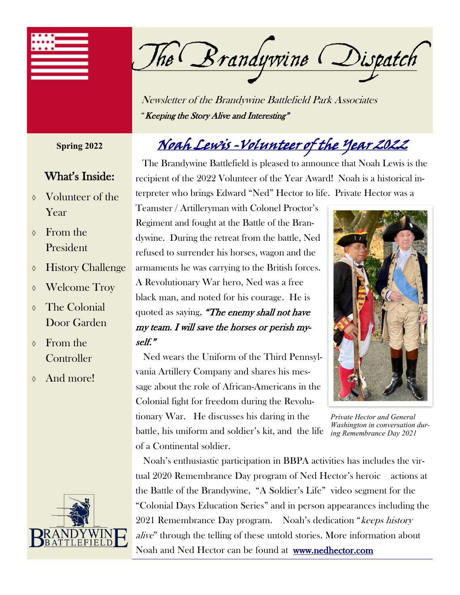

The Brandywine Dispatch

Newsletter of the Brandywine Battlefield Park Associates "Keeping the Story Alive and Interesting"

#### **Spring 2022**

#### What's Inside:

- Volunteer of the Year
- $\lozenge$  From the President
- History Challenge
- Welcome Troy
- **The Colonial** Door Garden
- From the **Controller**
- And more!



## Noah Lewis -Volunteer of the Year 2022

 The Brandywine Battlefield is pleased to announce that Noah Lewis is the recipient of the 2022 Volunteer of the Year Award! Noah is a historical interpreter who brings Edward "Ned" Hector to life. Private Hector was a

Teamster / Artilleryman with Colonel Proctor's Regiment and fought at the Battle of the Brandywine. During the retreat from the battle, Ned refused to surrender his horses, wagon and the armaments he was carrying to the British forces. A Revolutionary War hero, Ned was a free black man, and noted for his courage. He is quoted as saying, "The enemy shall not have my team. I will save the horses or perish myself."

 Ned wears the Uniform of the Third Pennsylvania Artillery Company and shares his message about the role of African-Americans in the Colonial fight for freedom during the Revolutionary War. He discusses his daring in the battle, his uniform and soldier's kit, and the life of a Continental soldier.



*Private Hector and General Washington in conversation during Remembrance Day 2021*

 Noah's enthusiastic participation in BBPA activities has includes the virtual 2020 Remembrance Day program of Ned Hector's heroic actions at the Battle of the Brandywine, "A Soldier's Life" video segment for the "Colonial Days Education Series" and in person appearances including the 2021 Remembrance Day program. Noah's dedication "keeps history alive" through the telling of these untold stories. More information about Noah and Ned Hector can be found at [www.nedhector.com](http://nedhector.com)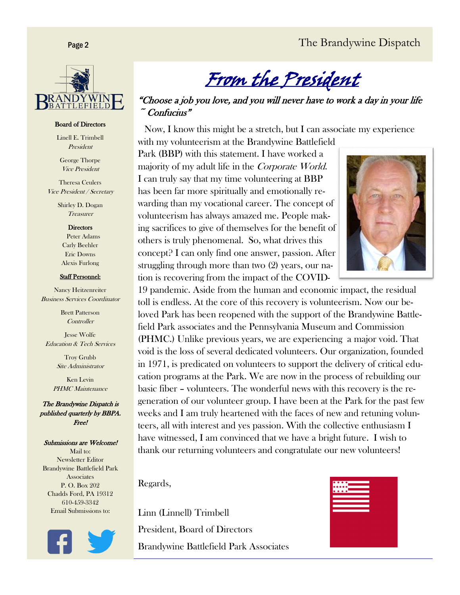

#### Board of Directors

Linell E. Trimbell President

George Thorpe Vice President

Theresa Ceulers Vice President / Secretary

> Shirley D. Dogan Treasurer

> > **Directors**

 Peter Adams Carly Beehler Eric Downs Alexis Furlong

#### Staff Personnel:

Nancy Heitzenreiter Business Services Coordinator

> Brett Patterson **Controller**

Jesse Wolfe Education & Tech Services

> Troy Grubb Site Administrator

Ken Levin PHMC Maintenance

The Brandywine Dispatch is published quarterly by BBPA. Free!

#### Submissions are Welcome!

Mail to: Newsletter Editor Brandywine Battlefield Park **Associates** P. O. Box 202 Chadds Ford, PA 19312 610-459-3342 Email Submissions to:



From the President

"Choose a job you love, and you will never have to work a day in your life  $\tilde{\phantom{a}}$  Confucius"

 Now, I know this might be a stretch, but I can associate my experience with my volunteerism at the Brandywine Battlefield

Park (BBP) with this statement. I have worked a majority of my adult life in the Corporate World. I can truly say that my time volunteering at BBP has been far more spiritually and emotionally rewarding than my vocational career. The concept of volunteerism has always amazed me. People making sacrifices to give of themselves for the benefit of others is truly phenomenal. So, what drives this concept? I can only find one answer, passion. After struggling through more than two (2) years, our nation is recovering from the impact of the COVID-



19 pandemic. Aside from the human and economic impact, the residual toll is endless. At the core of this recovery is volunteerism. Now our beloved Park has been reopened with the support of the Brandywine Battlefield Park associates and the Pennsylvania Museum and Commission (PHMC.) Unlike previous years, we are experiencing a major void. That void is the loss of several dedicated volunteers. Our organization, founded in 1971, is predicated on volunteers to support the delivery of critical education programs at the Park. We are now in the process of rebuilding our basic fiber – volunteers. The wonderful news with this recovery is the regeneration of our volunteer group. I have been at the Park for the past few weeks and I am truly heartened with the faces of new and retuning volunteers, all with interest and yes passion. With the collective enthusiasm I have witnessed, I am convinced that we have a bright future. I wish to thank our returning volunteers and congratulate our new volunteers!

Regards,

Linn (Linnell) Trimbell President, Board of Directors Brandywine Battlefield Park Associates

| ****_<br>*****<br>═ |                    |  |
|---------------------|--------------------|--|
| . <del>.</del>      | <b>The Company</b> |  |
|                     |                    |  |
|                     |                    |  |
|                     |                    |  |
|                     |                    |  |
|                     |                    |  |
|                     |                    |  |
|                     |                    |  |
|                     |                    |  |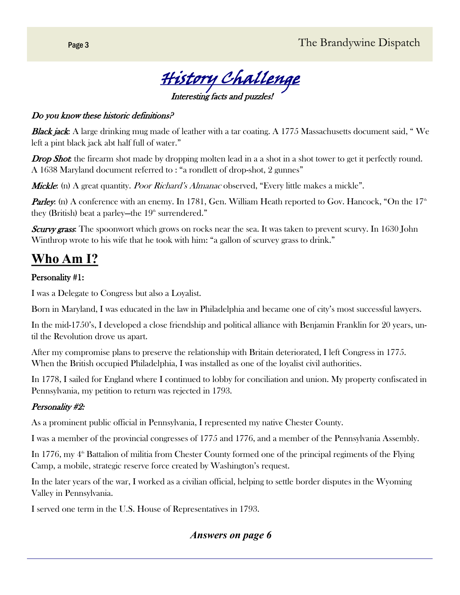

#### Do you know these historic definitions?

Black jack: A large drinking mug made of leather with a tar coating. A 1775 Massachusetts document said, "We left a pint black jack abt half full of water."

**Drop Shot:** the firearm shot made by dropping molten lead in a a shot in a shot tower to get it perfectly round. A 1638 Maryland document referred to : "a rondlett of drop-shot, 2 gunnes"

*Mickle*: (n) A great quantity. *Poor Richard's Almanac* observed, "Every little makes a mickle".

**Parley:** (n) A conference with an enemy. In 1781, Gen. William Heath reported to Gov. Hancock, "On the  $17<sup>th</sup>$ they (British) beat a parley—the  $19<sup>th</sup>$  surrendered."

Scurvy grass: The spoonwort which grows on rocks near the sea. It was taken to prevent scurvy. In 1630 John Winthrop wrote to his wife that he took with him: "a gallon of scurvey grass to drink."

## **Who Am I?**

#### Personality #1:

I was a Delegate to Congress but also a Loyalist.

Born in Maryland, I was educated in the law in Philadelphia and became one of city's most successful lawyers.

In the mid-1750's, I developed a close friendship and political alliance with Benjamin Franklin for 20 years, until the Revolution drove us apart.

After my compromise plans to preserve the relationship with Britain deteriorated, I left Congress in 1775. When the British occupied Philadelphia, I was installed as one of the loyalist civil authorities.

In 1778, I sailed for England where I continued to lobby for conciliation and union. My property confiscated in Pennsylvania, my petition to return was rejected in 1793.

#### Personality #2:

As a prominent public official in Pennsylvania, I represented my native Chester County.

I was a member of the provincial congresses of 1775 and 1776, and a member of the Pennsylvania Assembly.

In 1776, my  $4<sup>th</sup>$  Battalion of militia from Chester County formed one of the principal regiments of the Flying Camp, a mobile, strategic reserve force created by Washington's request.

In the later years of the war, I worked as a civilian official, helping to settle border disputes in the Wyoming Valley in Pennsylvania.

I served one term in the U.S. House of Representatives in 1793.

#### *Answers on page 6*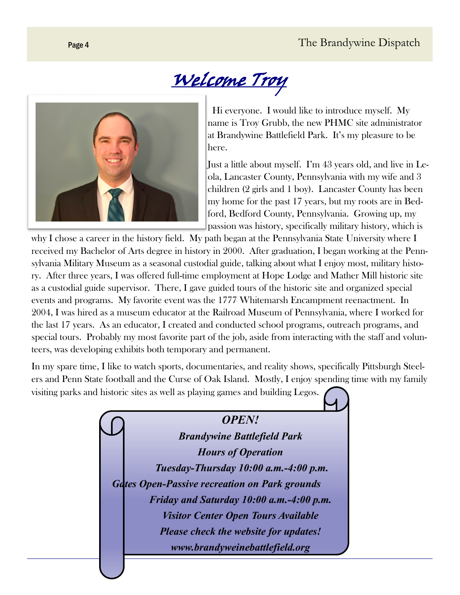# Welcome Troy



 Hi everyone. I would like to introduce myself. My name is Troy Grubb, the new PHMC site administrator at Brandywine Battlefield Park. It's my pleasure to be here.

Just a little about myself. I'm 43 years old, and live in Leola, Lancaster County, Pennsylvania with my wife and 3 children (2 girls and 1 boy). Lancaster County has been my home for the past 17 years, but my roots are in Bedford, Bedford County, Pennsylvania. Growing up, my passion was history, specifically military history, which is

why I chose a career in the history field. My path began at the Pennsylvania State University where I received my Bachelor of Arts degree in history in 2000. After graduation, I began working at the Pennsylvania Military Museum as a seasonal custodial guide, talking about what I enjoy most, military history. After three years, I was offered full-time employment at Hope Lodge and Mather Mill historic site as a custodial guide supervisor. There, I gave guided tours of the historic site and organized special events and programs. My favorite event was the 1777 Whitemarsh Encampment reenactment. In 2004, I was hired as a museum educator at the Railroad Museum of Pennsylvania, where I worked for the last 17 years. As an educator, I created and conducted school programs, outreach programs, and special tours. Probably my most favorite part of the job, aside from interacting with the staff and volunteers, was developing exhibits both temporary and permanent.

In my spare time, I like to watch sports, documentaries, and reality shows, specifically Pittsburgh Steelers and Penn State football and the Curse of Oak Island. Mostly, I enjoy spending time with my family visiting parks and historic sites as well as playing games and building Legos.

> *OPEN! Brandywine Battlefield Park Hours of Operation Tuesday-Thursday 10:00 a.m.-4:00 p.m. Gates Open-Passive recreation on Park grounds Friday and Saturday 10:00 a.m.-4:00 p.m. Visitor Center Open Tours Available Please check the website for updates! www.brandyweinebattlefield.org*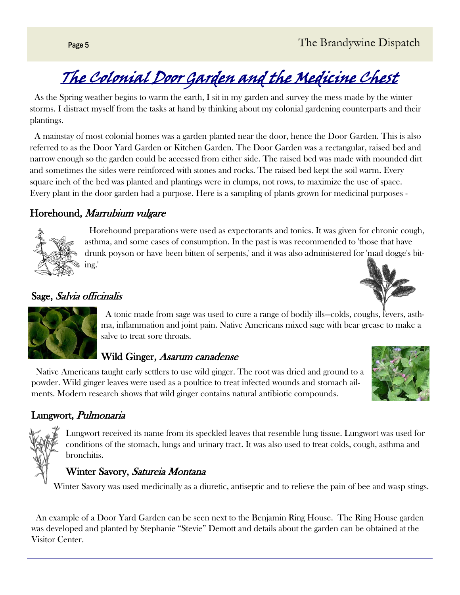# The Colonial Door Garden and the Medicine Chest

 As the Spring weather begins to warm the earth, I sit in my garden and survey the mess made by the winter storms. I distract myself from the tasks at hand by thinking about my colonial gardening counterparts and their plantings.

 A mainstay of most colonial homes was a garden planted near the door, hence the Door Garden. This is also referred to as the Door Yard Garden or Kitchen Garden. The Door Garden was a rectangular, raised bed and narrow enough so the garden could be accessed from either side. The raised bed was made with mounded dirt and sometimes the sides were reinforced with stones and rocks. The raised bed kept the soil warm. Every square inch of the bed was planted and plantings were in clumps, not rows, to maximize the use of space. Every plant in the door garden had a purpose. Here is a sampling of plants grown for medicinal purposes -

#### Horehound, Marrubium vulgare



 Horehound preparations were used as expectorants and tonics. It was given for chronic cough, asthma, and some cases of consumption. In the past is was recommended to 'those that have drunk poyson or have been bitten of serpents,' and it was also administered for 'mad dogge's biting.'





Sage, Salvia officinalis

 A tonic made from sage was used to cure a range of bodily ills—colds, coughs, fevers, asthma, inflammation and joint pain. Native Americans mixed sage with bear grease to make a salve to treat sore throats.

## Wild Ginger, Asarum canadense

 Native Americans taught early settlers to use wild ginger. The root was dried and ground to a powder. Wild ginger leaves were used as a poultice to treat infected wounds and stomach ailments. Modern research shows that wild ginger contains natural antibiotic compounds.



### Lungwort, Pulmonaria

Lungwort received its name from its speckled leaves that resemble lung tissue. Lungwort was used for conditions of the stomach, lungs and urinary tract. It was also used to treat colds, cough, asthma and bronchitis.

#### Winter Savory, Satureia Montana

Winter Savory was used medicinally as a diuretic, antiseptic and to relieve the pain of bee and wasp stings.

 An example of a Door Yard Garden can be seen next to the Benjamin Ring House. The Ring House garden was developed and planted by Stephanie "Stevie" Demott and details about the garden can be obtained at the Visitor Center.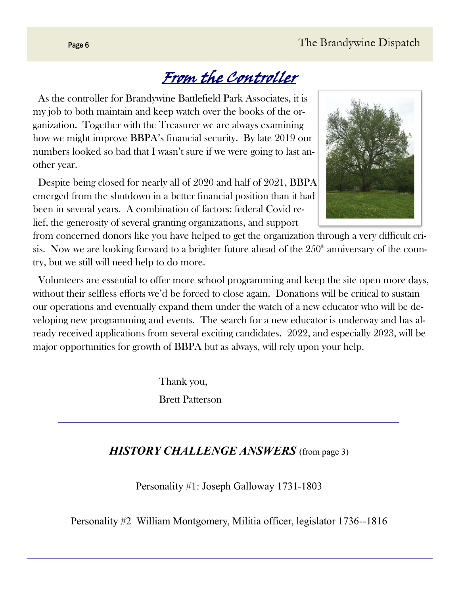# From the Controller

 As the controller for Brandywine Battlefield Park Associates, it is my job to both maintain and keep watch over the books of the organization. Together with the Treasurer we are always examining how we might improve BBPA's financial security. By late 2019 our numbers looked so bad that I wasn't sure if we were going to last another year.

 Despite being closed for nearly all of 2020 and half of 2021, BBPA emerged from the shutdown in a better financial position than it had been in several years. A combination of factors: federal Covid relief, the generosity of several granting organizations, and support

from concerned donors like you have helped to get the organization through a very difficult crisis. Now we are looking forward to a brighter future ahead of the  $250<sup>th</sup>$  anniversary of the country, but we still will need help to do more.

 Volunteers are essential to offer more school programming and keep the site open more days, without their selfless efforts we'd be forced to close again. Donations will be critical to sustain our operations and eventually expand them under the watch of a new educator who will be developing new programming and events. The search for a new educator is underway and has already received applications from several exciting candidates. 2022, and especially 2023, will be major opportunities for growth of BBPA but as always, will rely upon your help.

> Thank you, Brett Patterson

## *HISTORY CHALLENGE ANSWERS* (from page 3)

Personality #1: Joseph Galloway 1731-1803

Personality #2 William Montgomery, Militia officer, legislator 1736--1816

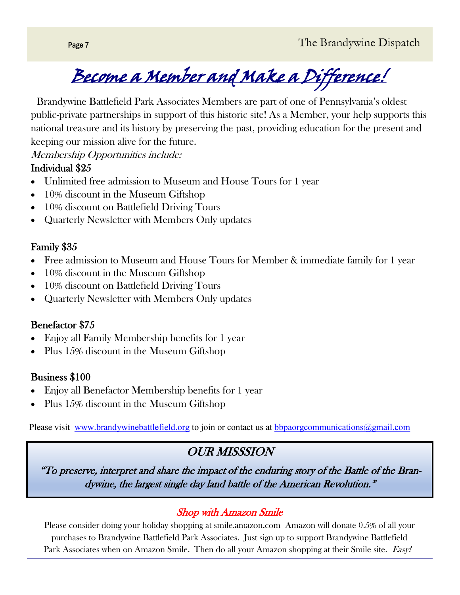

 Brandywine Battlefield Park Associates Members are part of one of Pennsylvania's oldest public-private partnerships in support of this historic site! As a Member, your help supports this national treasure and its history by preserving the past, providing education for the present and keeping our mission alive for the future.

Membership Opportunities include:

#### Individual \$25

- Unlimited free admission to Museum and House Tours for 1 year
- 10% discount in the Museum Giftshop
- 10% discount on Battlefield Driving Tours
- Quarterly Newsletter with Members Only updates

### Family \$35

- Free admission to Museum and House Tours for Member & immediate family for 1 year
- 10% discount in the Museum Giftshop
- 10% discount on Battlefield Driving Tours
- Quarterly Newsletter with Members Only updates

### Benefactor \$75

- Enjoy all Family Membership benefits for 1 year
- Plus 15% discount in the Museum Giftshop

### Business \$100

- Enjoy all Benefactor Membership benefits for 1 year
- Plus 15% discount in the Museum Giftshop

Please visit [www.brandywinebattlefield.org](http://www.brandywinebattlefield.org) to join or contact us at [bbpaorgcommunications@gmail.com](mailto:bbpaorgcommunications@gmail.com)

## OUR MISSSION

"To preserve, interpret and share the impact of the enduring story of the Battle of the Brandywine, the largest single day land battle of the American Revolution."

## Shop with Amazon Smile

Please consider doing your holiday shopping at smile.amazon.com Amazon will donate 0.5% of all your purchases to Brandywine Battlefield Park Associates. Just sign up to support Brandywine Battlefield Park Associates when on Amazon Smile. Then do all your Amazon shopping at their Smile site. Easy!